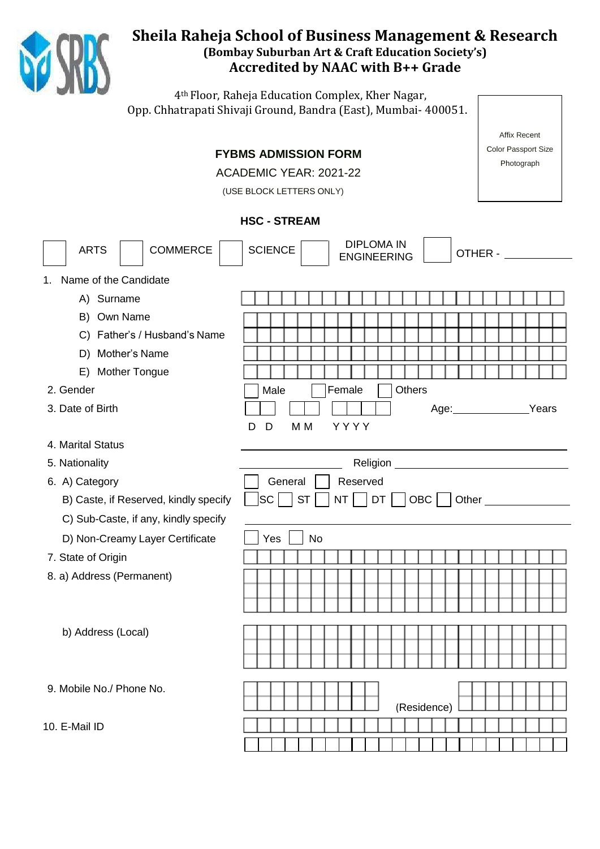

# **Sheila Raheja School of Business Management & Research (Bombay Suburban Art & Craft Education Society's) Accredited by NAAC with B++ Grade**

4th Floor, Raheja Education Complex, Kher Nagar, Opp. Chhatrapati Shivaji Ground, Bandra (East), Mumbai- 400051.

|                                       |                                                           | <b>Affix Recent</b>        |  |  |
|---------------------------------------|-----------------------------------------------------------|----------------------------|--|--|
|                                       | <b>FYBMS ADMISSION FORM</b>                               | <b>Color Passport Size</b> |  |  |
|                                       | ACADEMIC YEAR: 2021-22                                    | Photograph                 |  |  |
|                                       | (USE BLOCK LETTERS ONLY)                                  |                            |  |  |
|                                       |                                                           |                            |  |  |
|                                       | <b>HSC - STREAM</b>                                       |                            |  |  |
| <b>COMMERCE</b><br><b>ARTS</b>        | <b>DIPLOMA IN</b><br><b>SCIENCE</b><br><b>ENGINEERING</b> | OTHER -                    |  |  |
| 1. Name of the Candidate              |                                                           |                            |  |  |
| A) Surname                            |                                                           |                            |  |  |
| B) Own Name                           |                                                           |                            |  |  |
| C) Father's / Husband's Name          |                                                           |                            |  |  |
| D) Mother's Name                      |                                                           |                            |  |  |
| <b>Mother Tongue</b><br>E)            |                                                           |                            |  |  |
| 2. Gender                             | <b>Others</b><br>Male<br>Female                           |                            |  |  |
| 3. Date of Birth                      | Age: ______________                                       | Years                      |  |  |
|                                       | YYYY<br>D<br>M <sub>M</sub><br>D                          |                            |  |  |
| 4. Marital Status                     |                                                           |                            |  |  |
| 5. Nationality                        |                                                           |                            |  |  |
| 6. A) Category                        | General<br>Reserved                                       |                            |  |  |
| B) Caste, if Reserved, kindly specify | SC <br>$NT \mid  DT \mid$<br>ST<br>OBC   Other            |                            |  |  |
| C) Sub-Caste, if any, kindly specify  |                                                           |                            |  |  |
| D) Non-Creamy Layer Certificate       | No<br>Yes                                                 |                            |  |  |
| 7. State of Origin                    |                                                           |                            |  |  |
| 8. a) Address (Permanent)             |                                                           |                            |  |  |
|                                       |                                                           |                            |  |  |
|                                       |                                                           |                            |  |  |
| b) Address (Local)                    |                                                           |                            |  |  |
|                                       |                                                           |                            |  |  |
|                                       |                                                           |                            |  |  |
| 9. Mobile No./ Phone No.              |                                                           |                            |  |  |
|                                       | (Residence)                                               |                            |  |  |
| 10. E-Mail ID                         |                                                           |                            |  |  |
|                                       |                                                           |                            |  |  |
|                                       |                                                           |                            |  |  |